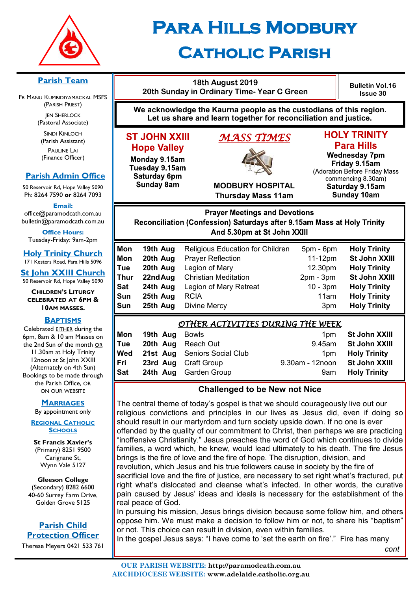

# **Para Hills Modbury Catholic Parish**

#### **Parish Team**

FR MANU KUMBIDIYAMACKAL MSFS (PARISH PRIEST) **JEN SHERLOCK** 

(Pastoral Associate)

SINDI KINLOCH (Parish Assistant) PAULINE LAI (Finance Officer)

## **Parish Admin Office**

50 Reservoir Rd, Hope Valley 5090 Ph: 8264 7590 *or* 8264 7093

**Email:** 

office@paramodcath.com.au bulletin@paramodcath.com.au

**Office Hours:**  Tuesday-Friday: 9am-2pm

**Holy Trinity Church** 171 Kesters Road, Para Hills 5096

**St John XXIII Church** 50 Reservoir Rd, Hope Valley 5090

#### **CHILDREN'S LITURGY CELEBRATED AT 6PM & 10AM MASSES.**

#### **BAPTISMS**

Celebrated EITHER during the 6pm, 8am & 10 am Masses on the 2nd Sun of the month OR 11.30am at Holy Trinity 12noon at St John XXIII (Alternately on 4th Sun) Bookings to be made through the Parish Office, OR ON OUR WEBSITE

#### **MARRIAGES**

By appointment only

**REGIONAL CATHOLIC SCHOOLS**

**St Francis Xavier's**  (Primary) 8251 9500 Carignane St, Wynn Vale 5127

**Gleeson College**  (Secondary) 8282 6600 40-60 Surrey Farm Drive, Golden Grove 5125

#### **Parish Child Protection Officer**

Therese Meyers 0421 533 761

| 18th August 2019<br>20th Sunday in Ordinary Time- Year C Green                                                                                          |                                                                                                                                                                                      |                                                                             | <b>Bulletin Vol.16</b><br><b>Issue 30</b>                                                                                                                                         |  |
|---------------------------------------------------------------------------------------------------------------------------------------------------------|--------------------------------------------------------------------------------------------------------------------------------------------------------------------------------------|-----------------------------------------------------------------------------|-----------------------------------------------------------------------------------------------------------------------------------------------------------------------------------|--|
| We acknowledge the Kaurna people as the custodians of this region.<br>Let us share and learn together for reconciliation and justice.                   |                                                                                                                                                                                      |                                                                             |                                                                                                                                                                                   |  |
| <b>ST JOHN XXIII</b><br><b>Hope Valley</b><br>Monday 9.15am<br>Tuesday 9.15am<br>Saturday 6pm<br><b>Sunday 8am</b>                                      | <b>MASS TIMES</b><br><b>MODBURY HOSPITAL</b><br><b>Thursday Mass 11am</b>                                                                                                            |                                                                             | <b>HOLY TRINITY</b><br><b>Para Hills</b><br><b>Wednesday 7pm</b><br>Friday 9.15am<br>(Adoration Before Friday Mass<br>commencing 8.30am)<br>Saturday 9.15am<br><b>Sunday 10am</b> |  |
| <b>Prayer Meetings and Devotions</b><br>Reconciliation (Confession) Saturdays after 9.15am Mass at Holy Trinity<br>And 5.30pm at St John XXIII          |                                                                                                                                                                                      |                                                                             |                                                                                                                                                                                   |  |
| Mon<br>19th Aug<br>Mon<br>20th Aug<br>Tue<br>20th Aug<br><b>Thur</b><br>22nd Aug<br><b>Sat</b><br>24th Aug<br><b>Sun</b><br>25th Aug<br>Sun<br>25th Aug | <b>Religious Education for Children</b><br><b>Prayer Reflection</b><br>Legion of Mary<br><b>Christian Meditation</b><br>Legion of Mary Retreat<br><b>RCIA</b><br><b>Divine Mercy</b> | 5pm - 6pm<br>11-12pm<br>12.30pm<br>$2pm - 3pm$<br>$10 - 3pm$<br>11am<br>3pm | <b>Holy Trinity</b><br><b>St John XXIII</b><br><b>Holy Trinity</b><br>St John XXIII<br><b>Holy Trinity</b><br><b>Holy Trinity</b><br><b>Holy Trinity</b>                          |  |
| Mon<br>19th Aug<br>20th Aug<br>Tue<br>Wed<br>21st Aug                                                                                                   | <u>OTHER ACTIVITIES DURING THE WEEK</u><br><b>Bowls</b><br><b>Reach Out</b><br><b>Seniors Social Club</b>                                                                            | 1pm<br>9.45am<br>1pm                                                        | <b>St John XXIII</b><br><b>St John XXIII</b><br><b>Holy Trinity</b>                                                                                                               |  |

# **Challenged to be New not Nice**

**Fri 23rd Aug** Craft Group 9.30am - 12noon **St John XXIII Sat 24th Aug** Garden Group **1988 9am Holy Trinity** 

The central theme of today's gospel is that we should courageously live out our religious convictions and principles in our lives as Jesus did, even if doing so should result in our martyrdom and turn society upside down. If no one is ever offended by the quality of our commitment to Christ, then perhaps we are practicing "inoffensive Christianity." Jesus preaches the word of God which continues to divide families, a word which, he knew, would lead ultimately to his death. The fire Jesus brings is the fire of love and the fire of hope. The disruption, division, and revolution, which Jesus and his true followers cause in society by the fire of sacrificial love and the fire of justice, are necessary to set right what's fractured, put right what's dislocated and cleanse what's infected. In other words, the curative pain caused by Jesus' ideas and ideals is necessary for the establishment of the real peace of God.

In pursuing his mission, Jesus brings division because some follow him, and others oppose him. We must make a decision to follow him or not, to share his "baptism" or not. This choice can result in division, even within families.

In the gospel Jesus says: "I have come to 'set the earth on fire'." Fire has many  *cont*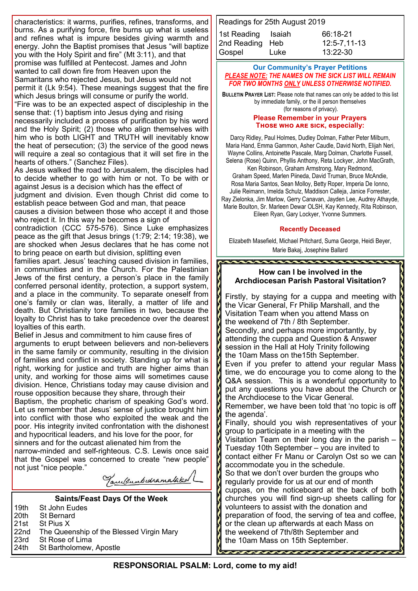characteristics: it warms, purifies, refines, transforms, and burns. As a purifying force, fire burns up what is useless and refines what is impure besides giving warmth and energy. John the Baptist promises that Jesus "will baptize you with the Holy Spirit and fire" (Mt 3:11), and that promise was fulfilled at Pentecost. James and John wanted to call down fire from Heaven upon the Samaritans who rejected Jesus, but Jesus would not permit it (Lk 9:54). These meanings suggest that the fire which Jesus brings will consume or purify the world. "Fire was to be an expected aspect of discipleship in the sense that: (1) baptism into Jesus dying and rising necessarily included a process of purification by his word and the Holy Spirit; (2) those who align themselves with him who is both LIGHT and TRUTH will inevitably know the heat of persecution; (3) the service of the good news will require a zeal so contagious that it will set fire in the hearts of others." (Sanchez Files).

As Jesus walked the road to Jerusalem, the disciples had to decide whether to go with him or not. To be with or against Jesus is a decision which has the effect of

judgment and division. Even though Christ did come to establish peace between God and man, that peace

causes a division between those who accept it and those who reject it. In this way he becomes a sign of

contradiction (CCC 575-576). Since Luke emphasizes peace as the gift that Jesus brings (1:79; 2:14; 19:38), we are shocked when Jesus declares that he has come not to bring peace on earth but division, splitting even

families apart. Jesus' teaching caused division in families, in communities and in the Church. For the Palestinian Jews of the first century, a person's place in the family conferred personal identity, protection, a support system, and a place in the community. To separate oneself from one's family or clan was, literally, a matter of life and death. But Christianity tore families in two, because the loyalty to Christ has to take precedence over the dearest loyalties of this earth.

Belief in Jesus and commitment to him cause fires of arguments to erupt between believers and non-believers in the same family or community, resulting in the division of families and conflict in society. Standing up for what is right, working for justice and truth are higher aims than unity, and working for those aims will sometimes cause division. Hence, Christians today may cause division and rouse opposition because they share, through their

Baptism, the prophetic charism of speaking God's word. Let us remember that Jesus' sense of justice brought him into conflict with those who exploited the weak and the poor. His integrity invited confrontation with the dishonest and hypocritical leaders, and his love for the poor, for sinners and for the outcast alienated him from the

narrow-minded and self-righteous. C.S. Lewis once said that the Gospel was concerned to create "new people" not just "nice people."

Tanu/sumbidramataked

#### **Saints/Feast Days Of the Week**

| l 19th  St John Eudes                         |
|-----------------------------------------------|
| 20th St Bernard                               |
| 21st St Pius X                                |
| 22nd The Queenship of the Blessed Virgin Mary |
| 23rd St Rose of Lima                          |
| 24th St Bartholomew, Apostle                  |

Readings for 25th August 2019 1st Reading Isaiah 66:18-21 2nd Reading Heb 12:5-7,11-13 Gospel Luke 13:22-30

#### **Our Community's Prayer Petitions**  *PLEASE NOTE: THE NAMES ON THE SICK LIST WILL REMAIN FOR TWO MONTHS ONLY UNLESS OTHERWISE NOTIFIED.*

**BULLETIN PRAYER LIST:** Please note that names can only be added to this list by immediate family, or the ill person themselves (for reasons of privacy).

#### **Please Remember in your Prayers Those who are sick, especially:**

Darcy Ridley, Paul Holmes, Dudley Dolman, Father Peter Milburn, Maria Hand, Emma Gammon, Asher Caudle, David North, Elijah Neri, Wayne Collins, Antoinette Pascale, Marg Dolman, Charlotte Fussell, Selena (Rose) Quinn, Phyllis Anthony, Reta Lockyer, John MacGrath,

Ken Robinson, Graham Armstrong, Mary Redmond, Graham Speed, Marlen Piineda, David Truman, Bruce McAndie, Rosa Maria Santos, Sean Molloy, Betty Roper, Imperia De Ionno, Julie Reimann, Imelda Schulz, Maddison Calleja, Janice Forrester, Ray Zielonka, Jim Marlow, Gerry Canavan, Jayden Lee, Audrey Athayde, Marie Boulton, Sr. Marleen Dewar OLSH, Kay Kennedy, Rita Robinson, Eileen Ryan, Gary Lockyer, Yvonne Summers.

#### **Recently Deceased**

Elizabeth Masefield, Michael Pritchard, Suma George, Heidi Beyer, Marie Bakaj, Josephine Ballard

\*\*\*\*\*\*\*\*\*\*\*\*\*\*\*\*\*\*\*\*\*\*\*\*

#### **How can I be involved in the Archdiocesan Parish Pastoral Visitation?**

Firstly, by staying for a cuppa and meeting with the Vicar General, Fr Philip Marshall, and the Visitation Team when you attend Mass on the weekend of 7th / 8th September. Secondly, and perhaps more importantly, by attending the cuppa and Question & Answer session in the Hall at Holy Trinity following the 10am Mass on the15th September. Even if you prefer to attend your regular Mass time, we do encourage you to come along to the Q&A session. This is a wonderful opportunity to put any questions you have about the Church or the Archdiocese to the Vicar General. Remember, we have been told that 'no topic is off the agenda'. Finally, should you wish representatives of your group to participate in a meeting with the Visitation Team on their long day in the parish – Tuesday 10th September – you are invited to contact either Fr Manu or Carolyn Ost so we can accommodate you in the schedule. So that we don't over burden the groups who regularly provide for us at our end of month cuppas, on the noticeboard at the back of both churches you will find sign-up sheets calling for  $\|$ volunteers to assist with the donation and preparation of food, the serving of tea and coffee, or the clean up afterwards at each Mass on the weekend of 7th/8th September and the 10am Mass on 15th September.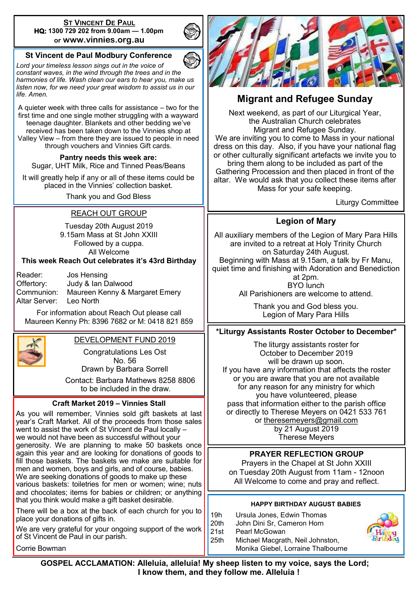#### **ST VINCENT DE PAUL HQ: 1300 729 202 from 9.00am — 1.00pm or www.vinnies.org.au**

# **St Vincent de Paul Modbury Conference**

*Lord your timeless lesson sings out in the voice of constant waves, in the wind through the trees and in the harmonies of life. Wash clean our ears to hear you, make us listen now, for we need your great wisdom to assist us in our life. Amen.*

A quieter week with three calls for assistance – two for the first time and one single mother struggling with a wayward teenage daughter. Blankets and other bedding we've received has been taken down to the Vinnies shop at Valley View – from there they are issued to people in need through vouchers and Vinnies Gift cards.

**Pantry needs this week are:**  Sugar, UHT Milk, Rice and Tinned Peas/Beans

It will greatly help if any or all of these items could be placed in the Vinnies' collection basket.

Thank you and God Bless

# REACH OUT GROUP

Tuesday 20th August 2019 9.15am Mass at St John XXIII Followed by a cuppa. All Welcome

#### **This week Reach Out celebrates it's 43rd Birthday**

Reader: Jos Hensing Offertory: Judy & Ian Dalwood Communion: Maureen Kenny & Margaret Emery Altar Server: Leo North

For information about Reach Out please call Maureen Kenny Ph: 8396 7682 or M: 0418 821 859



# DEVELOPMENT FUND 2019

Congratulations Les Ost No. 56

Drawn by Barbara Sorrell

 Contact: Barbara Mathews 8258 8806 to be included in the draw.

#### **Craft Market 2019 – Vinnies Stall**

As you will remember, Vinnies sold gift baskets at last year's Craft Market. All of the proceeds from those sales went to assist the work of St Vincent de Paul locally – we would not have been as successful without your generosity. We are planning to make 50 baskets once again this year and are looking for donations of goods to fill those baskets. The baskets we make are suitable for men and women, boys and girls, and of course, babies. We are seeking donations of goods to make up these various baskets: toiletries for men or women; wine; nuts and chocolates; items for babies or children; or anything that you think would make a gift basket desirable.

There will be a box at the back of each church for you to place your donations of gifts in.

We are very grateful for your ongoing support of the work of St Vincent de Paul in our parish.

Corrie Bowman



# **Migrant and Refugee Sunday**

Next weekend, as part of our Liturgical Year, the Australian Church celebrates Migrant and Refugee Sunday. We are inviting you to come to Mass in your national dress on this day. Also, if you have your national flag or other culturally significant artefacts we invite you to bring them along to be included as part of the Gathering Procession and then placed in front of the altar. We would ask that you collect these items after Mass for your safe keeping.

Liturgy Committee

# **Legion of Mary**

All auxiliary members of the Legion of Mary Para Hills are invited to a retreat at Holy Trinity Church on Saturday 24th August. Beginning with Mass at 9.15am, a talk by Fr Manu, quiet time and finishing with Adoration and Benediction at 2pm. BYO lunch All Parishioners are welcome to attend.

> Thank you and God bless you. Legion of Mary Para Hills

## **\*Liturgy Assistants Roster October to December\***

The liturgy assistants roster for October to December 2019 will be drawn up soon. If you have any information that affects the roster or you are aware that you are not available for any reason for any ministry for which you have volunteered, please pass that information either to the parish office or directly to Therese Meyers on 0421 533 761 or [theresemeyers@gmail.com](https://www.paramodcath.com.au:2096/cpsess4468909295/horde/imp/dynamic.php?page=mailbox#) by 21 August 2019 Therese Meyers

## **PRAYER REFLECTION GROUP**

Prayers in the Chapel at St John XXIII on Tuesday 20th August from 11am - 12noon All Welcome to come and pray and reflect.

#### **HAPPY BIRTHDAY AUGUST BABIES**

19h Ursula Jones, Edwin Thomas 20th John Dini Sr, Cameron Horn 21st Pearl McGowan 25th Michael Macgrath, Neil Johnston, Monika Giebel, Lorraine Thalbourne



 **GOSPEL ACCLAMATION: Alleluia, alleluia! My sheep listen to my voice, says the Lord; I know them, and they follow me. Alleluia !**